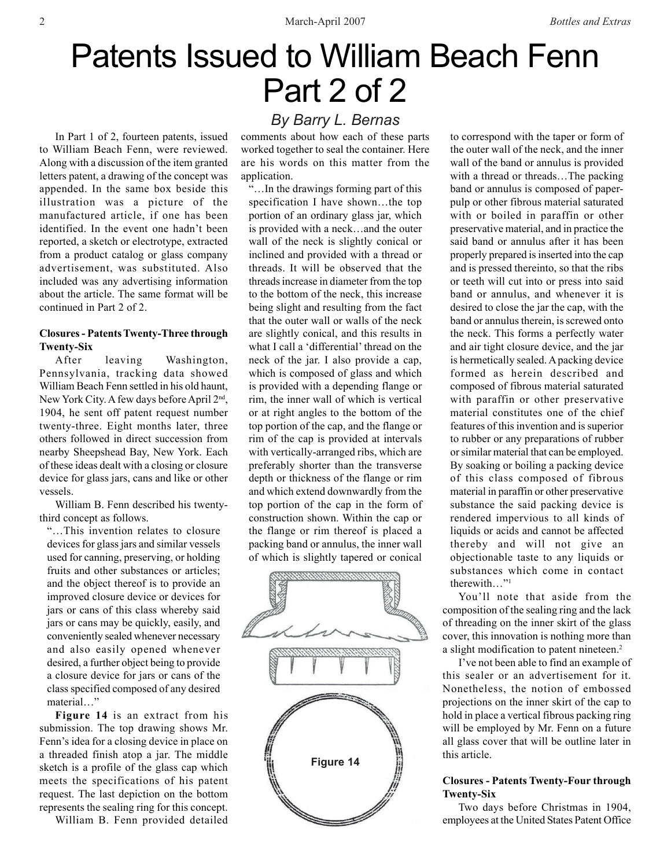# Patents Issued to William Beach Fenn Part 2 of 2

In Part 1 of 2, fourteen patents, issued to William Beach Fenn, were reviewed. Along with a discussion of the item granted letters patent, a drawing of the concept was appended. In the same box beside this illustration was a picture of the manufactured article, if one has been identified. In the event one hadn't been reported, a sketch or electrotype, extracted from a product catalog or glass company advertisement, was substituted. Also included was any advertising information about the article. The same format will be continued in Part 2 of 2.

### **Closures - Patents Twenty-Three through Twenty-Six**

After leaving Washington, Pennsylvania, tracking data showed William Beach Fenn settled in his old haunt, New York City. A few days before April 2nd, 1904, he sent off patent request number twenty-three. Eight months later, three others followed in direct succession from nearby Sheepshead Bay, New York. Each of these ideas dealt with a closing or closure device for glass jars, cans and like or other vessels.

William B. Fenn described his twentythird concept as follows.

"…This invention relates to closure devices for glass jars and similar vessels used for canning, preserving, or holding fruits and other substances or articles; and the object thereof is to provide an improved closure device or devices for jars or cans of this class whereby said jars or cans may be quickly, easily, and conveniently sealed whenever necessary and also easily opened whenever desired, a further object being to provide a closure device for jars or cans of the class specified composed of any desired material…"

**Figure 14** is an extract from his submission. The top drawing shows Mr. Fenn's idea for a closing device in place on a threaded finish atop a jar. The middle sketch is a profile of the glass cap which meets the specifications of his patent request. The last depiction on the bottom represents the sealing ring for this concept.

William B. Fenn provided detailed

# *By Barry L. Bernas*

comments about how each of these parts worked together to seal the container. Here are his words on this matter from the application.

"…In the drawings forming part of this specification I have shown…the top portion of an ordinary glass jar, which is provided with a neck…and the outer wall of the neck is slightly conical or inclined and provided with a thread or threads. It will be observed that the threads increase in diameter from the top to the bottom of the neck, this increase being slight and resulting from the fact that the outer wall or walls of the neck are slightly conical, and this results in what I call a 'differential' thread on the neck of the jar. I also provide a cap, which is composed of glass and which is provided with a depending flange or rim, the inner wall of which is vertical or at right angles to the bottom of the top portion of the cap, and the flange or rim of the cap is provided at intervals with vertically-arranged ribs, which are preferably shorter than the transverse depth or thickness of the flange or rim and which extend downwardly from the top portion of the cap in the form of construction shown. Within the cap or the flange or rim thereof is placed a packing band or annulus, the inner wall of which is slightly tapered or conical



to correspond with the taper or form of the outer wall of the neck, and the inner wall of the band or annulus is provided with a thread or threads...The packing band or annulus is composed of paperpulp or other fibrous material saturated with or boiled in paraffin or other preservative material, and in practice the said band or annulus after it has been properly prepared is inserted into the cap and is pressed thereinto, so that the ribs or teeth will cut into or press into said band or annulus, and whenever it is desired to close the jar the cap, with the band or annulus therein, is screwed onto the neck. This forms a perfectly water and air tight closure device, and the jar is hermetically sealed. A packing device formed as herein described and composed of fibrous material saturated with paraffin or other preservative material constitutes one of the chief features of this invention and is superior to rubber or any preparations of rubber or similar material that can be employed. By soaking or boiling a packing device of this class composed of fibrous material in paraffin or other preservative substance the said packing device is rendered impervious to all kinds of liquids or acids and cannot be affected thereby and will not give an objectionable taste to any liquids or substances which come in contact therewith…"1

You'll note that aside from the composition of the sealing ring and the lack of threading on the inner skirt of the glass cover, this innovation is nothing more than a slight modification to patent nineteen.<sup>2</sup>

I've not been able to find an example of this sealer or an advertisement for it. Nonetheless, the notion of embossed projections on the inner skirt of the cap to hold in place a vertical fibrous packing ring will be employed by Mr. Fenn on a future all glass cover that will be outline later in this article.

## **Closures - Patents Twenty-Four through Twenty-Six**

Two days before Christmas in 1904, employees at the United States Patent Office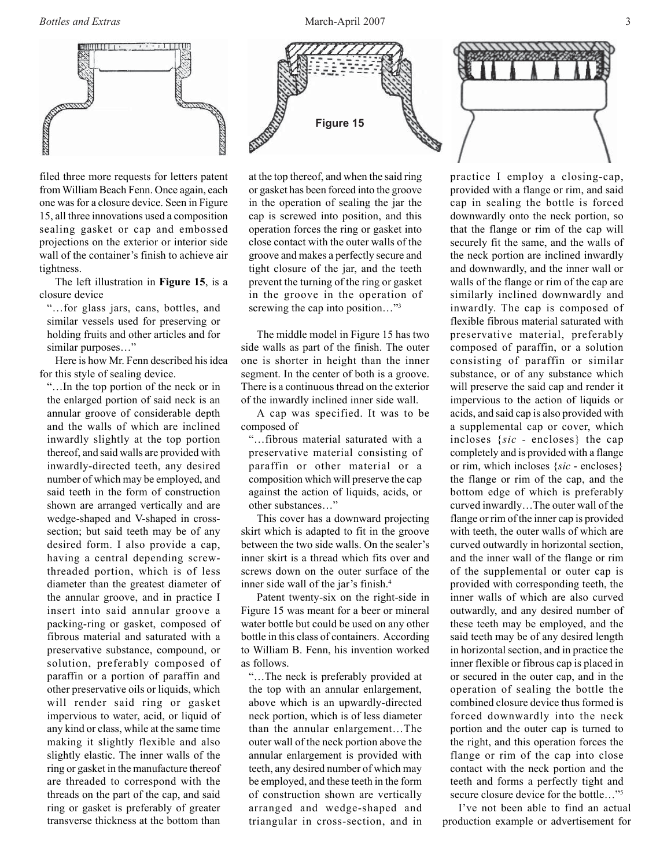

filed three more requests for letters patent from William Beach Fenn. Once again, each one was for a closure device. Seen in Figure 15, all three innovations used a composition sealing gasket or cap and embossed projections on the exterior or interior side wall of the container's finish to achieve air tightness.

The left illustration in **Figure 15**, is a closure device

"…for glass jars, cans, bottles, and similar vessels used for preserving or holding fruits and other articles and for similar purposes…"

Here is how Mr. Fenn described his idea for this style of sealing device.

"…In the top portion of the neck or in the enlarged portion of said neck is an annular groove of considerable depth and the walls of which are inclined inwardly slightly at the top portion thereof, and said walls are provided with inwardly-directed teeth, any desired number of which may be employed, and said teeth in the form of construction shown are arranged vertically and are wedge-shaped and V-shaped in crosssection; but said teeth may be of any desired form. I also provide a cap, having a central depending screwthreaded portion, which is of less diameter than the greatest diameter of the annular groove, and in practice I insert into said annular groove a packing-ring or gasket, composed of fibrous material and saturated with a preservative substance, compound, or solution, preferably composed of paraffin or a portion of paraffin and other preservative oils or liquids, which will render said ring or gasket impervious to water, acid, or liquid of any kind or class, while at the same time making it slightly flexible and also slightly elastic. The inner walls of the ring or gasket in the manufacture thereof are threaded to correspond with the threads on the part of the cap, and said ring or gasket is preferably of greater transverse thickness at the bottom than





at the top thereof, and when the said ring or gasket has been forced into the groove in the operation of sealing the jar the cap is screwed into position, and this operation forces the ring or gasket into close contact with the outer walls of the groove and makes a perfectly secure and tight closure of the jar, and the teeth prevent the turning of the ring or gasket in the groove in the operation of screwing the cap into position..."<sup>3</sup>

The middle model in Figure 15 has two side walls as part of the finish. The outer one is shorter in height than the inner segment. In the center of both is a groove. There is a continuous thread on the exterior of the inwardly inclined inner side wall.

A cap was specified. It was to be composed of

"…fibrous material saturated with a preservative material consisting of paraffin or other material or a composition which will preserve the cap against the action of liquids, acids, or other substances…"

This cover has a downward projecting skirt which is adapted to fit in the groove between the two side walls. On the sealer's inner skirt is a thread which fits over and screws down on the outer surface of the inner side wall of the jar's finish.<sup>4</sup>

Patent twenty-six on the right-side in Figure 15 was meant for a beer or mineral water bottle but could be used on any other bottle in this class of containers. According to William B. Fenn, his invention worked as follows.

"…The neck is preferably provided at the top with an annular enlargement, above which is an upwardly-directed neck portion, which is of less diameter than the annular enlargement…The outer wall of the neck portion above the annular enlargement is provided with teeth, any desired number of which may be employed, and these teeth in the form of construction shown are vertically arranged and wedge-shaped and triangular in cross-section, and in

practice I employ a closing-cap, provided with a flange or rim, and said cap in sealing the bottle is forced downwardly onto the neck portion, so that the flange or rim of the cap will securely fit the same, and the walls of the neck portion are inclined inwardly and downwardly, and the inner wall or walls of the flange or rim of the cap are similarly inclined downwardly and inwardly. The cap is composed of flexible fibrous material saturated with preservative material, preferably composed of paraffin, or a solution consisting of paraffin or similar substance, or of any substance which will preserve the said cap and render it impervious to the action of liquids or acids, and said cap is also provided with a supplemental cap or cover, which incloses {*sic* - encloses} the cap completely and is provided with a flange or rim, which incloses {*sic* - encloses} the flange or rim of the cap, and the bottom edge of which is preferably curved inwardly…The outer wall of the flange or rim of the inner cap is provided with teeth, the outer walls of which are curved outwardly in horizontal section, and the inner wall of the flange or rim of the supplemental or outer cap is provided with corresponding teeth, the inner walls of which are also curved outwardly, and any desired number of these teeth may be employed, and the said teeth may be of any desired length in horizontal section, and in practice the inner flexible or fibrous cap is placed in or secured in the outer cap, and in the operation of sealing the bottle the combined closure device thus formed is forced downwardly into the neck portion and the outer cap is turned to the right, and this operation forces the flange or rim of the cap into close contact with the neck portion and the teeth and forms a perfectly tight and secure closure device for the bottle…"5

I've not been able to find an actual production example or advertisement for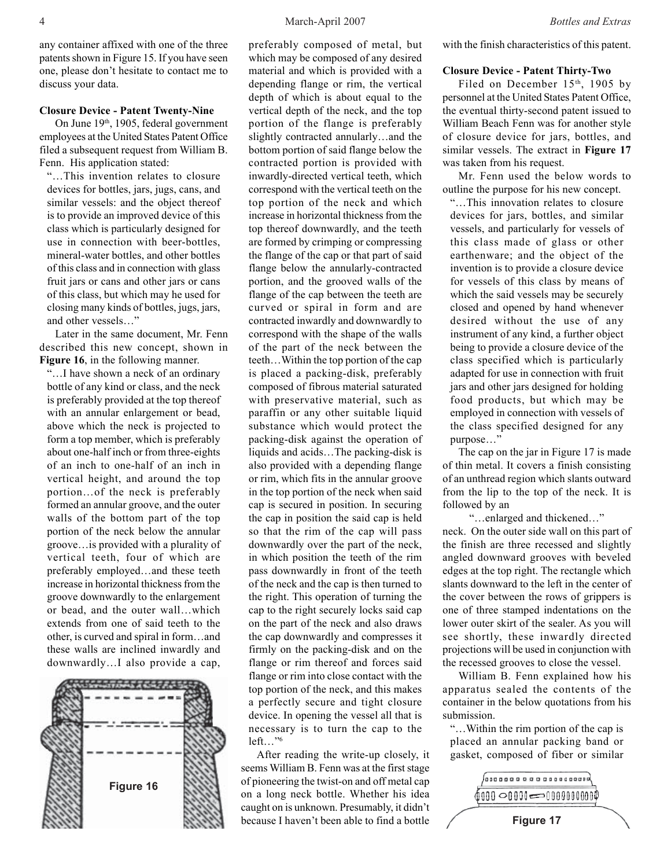discuss your data.

any container affixed with one of the three patents shown in Figure 15. If you have seen one, please don't hesitate to contact me to

#### **Closure Device - Patent Twenty-Nine**

On June 19<sup>th</sup>, 1905, federal government employees at the United States Patent Office filed a subsequent request from William B. Fenn. His application stated:

"…This invention relates to closure devices for bottles, jars, jugs, cans, and similar vessels: and the object thereof is to provide an improved device of this class which is particularly designed for use in connection with beer-bottles, mineral-water bottles, and other bottles of this class and in connection with glass fruit jars or cans and other jars or cans of this class, but which may he used for closing many kinds of bottles, jugs, jars, and other vessels…"

Later in the same document, Mr. Fenn described this new concept, shown in **Figure 16**, in the following manner.

"…I have shown a neck of an ordinary bottle of any kind or class, and the neck is preferably provided at the top thereof with an annular enlargement or bead, above which the neck is projected to form a top member, which is preferably about one-half inch or from three-eights of an inch to one-half of an inch in vertical height, and around the top portion…of the neck is preferably formed an annular groove, and the outer walls of the bottom part of the top portion of the neck below the annular groove…is provided with a plurality of vertical teeth, four of which are preferably employed…and these teeth increase in horizontal thickness from the groove downwardly to the enlargement or bead, and the outer wall…which extends from one of said teeth to the other, is curved and spiral in form…and these walls are inclined inwardly and downwardly…I also provide a cap,



preferably composed of metal, but which may be composed of any desired material and which is provided with a depending flange or rim, the vertical depth of which is about equal to the vertical depth of the neck, and the top portion of the flange is preferably slightly contracted annularly…and the bottom portion of said flange below the contracted portion is provided with inwardly-directed vertical teeth, which correspond with the vertical teeth on the top portion of the neck and which increase in horizontal thickness from the top thereof downwardly, and the teeth are formed by crimping or compressing the flange of the cap or that part of said flange below the annularly-contracted portion, and the grooved walls of the flange of the cap between the teeth are curved or spiral in form and are contracted inwardly and downwardly to correspond with the shape of the walls of the part of the neck between the teeth…Within the top portion of the cap is placed a packing-disk, preferably composed of fibrous material saturated with preservative material, such as paraffin or any other suitable liquid substance which would protect the packing-disk against the operation of liquids and acids…The packing-disk is also provided with a depending flange or rim, which fits in the annular groove in the top portion of the neck when said cap is secured in position. In securing the cap in position the said cap is held so that the rim of the cap will pass downwardly over the part of the neck, in which position the teeth of the rim pass downwardly in front of the teeth of the neck and the cap is then turned to the right. This operation of turning the cap to the right securely locks said cap on the part of the neck and also draws the cap downwardly and compresses it firmly on the packing-disk and on the flange or rim thereof and forces said flange or rim into close contact with the top portion of the neck, and this makes a perfectly secure and tight closure device. In opening the vessel all that is necessary is to turn the cap to the left…"6

After reading the write-up closely, it seems William B. Fenn was at the first stage of pioneering the twist-on and off metal cap on a long neck bottle. Whether his idea caught on is unknown. Presumably, it didn't because I haven't been able to find a bottle with the finish characteristics of this patent.

#### **Closure Device - Patent Thirty-Two**

Filed on December 15<sup>th</sup>, 1905 by personnel at the United States Patent Office, the eventual thirty-second patent issued to William Beach Fenn was for another style of closure device for jars, bottles, and similar vessels. The extract in **Figure 17** was taken from his request.

Mr. Fenn used the below words to outline the purpose for his new concept.

"…This innovation relates to closure devices for jars, bottles, and similar vessels, and particularly for vessels of this class made of glass or other earthenware; and the object of the invention is to provide a closure device for vessels of this class by means of which the said vessels may be securely closed and opened by hand whenever desired without the use of any instrument of any kind, a further object being to provide a closure device of the class specified which is particularly adapted for use in connection with fruit jars and other jars designed for holding food products, but which may be employed in connection with vessels of the class specified designed for any purpose…"

The cap on the jar in Figure 17 is made of thin metal. It covers a finish consisting of an unthread region which slants outward from the lip to the top of the neck. It is followed by an

"…enlarged and thickened…" neck. On the outer side wall on this part of the finish are three recessed and slightly angled downward grooves with beveled edges at the top right. The rectangle which slants downward to the left in the center of the cover between the rows of grippers is one of three stamped indentations on the lower outer skirt of the sealer. As you will see shortly, these inwardly directed projections will be used in conjunction with the recessed grooves to close the vessel.

William B. Fenn explained how his apparatus sealed the contents of the container in the below quotations from his submission.

"…Within the rim portion of the cap is placed an annular packing band or gasket, composed of fiber or similar

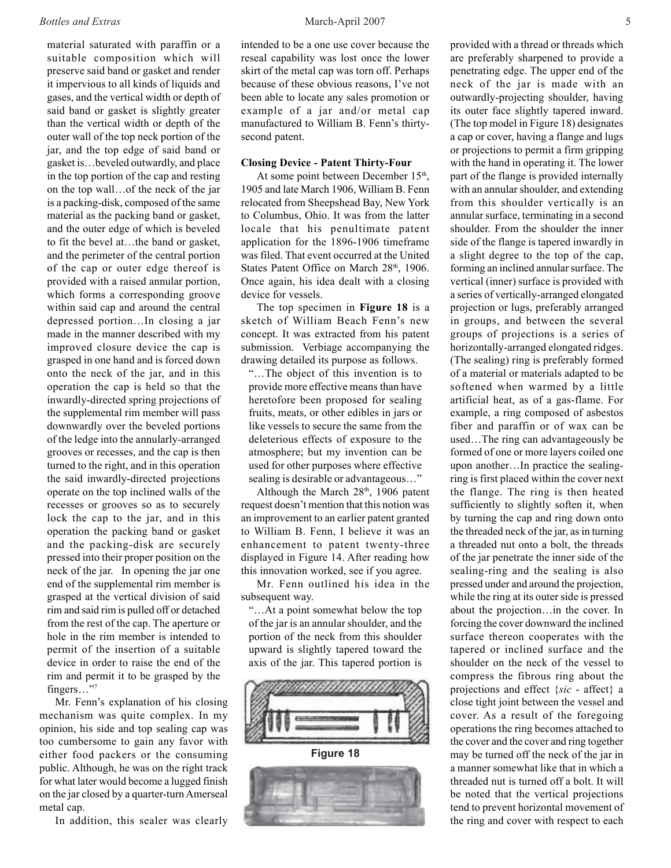#### *Bottles and Extras* 5

material saturated with paraffin or a suitable composition which will preserve said band or gasket and render it impervious to all kinds of liquids and gases, and the vertical width or depth of said band or gasket is slightly greater than the vertical width or depth of the outer wall of the top neck portion of the jar, and the top edge of said band or gasket is…beveled outwardly, and place in the top portion of the cap and resting on the top wall…of the neck of the jar is a packing-disk, composed of the same material as the packing band or gasket, and the outer edge of which is beveled to fit the bevel at…the band or gasket, and the perimeter of the central portion of the cap or outer edge thereof is provided with a raised annular portion, which forms a corresponding groove within said cap and around the central depressed portion…In closing a jar made in the manner described with my improved closure device the cap is grasped in one hand and is forced down onto the neck of the jar, and in this operation the cap is held so that the inwardly-directed spring projections of the supplemental rim member will pass downwardly over the beveled portions of the ledge into the annularly-arranged grooves or recesses, and the cap is then turned to the right, and in this operation the said inwardly-directed projections operate on the top inclined walls of the recesses or grooves so as to securely lock the cap to the jar, and in this operation the packing band or gasket and the packing-disk are securely pressed into their proper position on the neck of the jar. In opening the jar one end of the supplemental rim member is grasped at the vertical division of said rim and said rim is pulled off or detached from the rest of the cap. The aperture or hole in the rim member is intended to permit of the insertion of a suitable device in order to raise the end of the rim and permit it to be grasped by the fingers…"7

Mr. Fenn's explanation of his closing mechanism was quite complex. In my opinion, his side and top sealing cap was too cumbersome to gain any favor with either food packers or the consuming public. Although, he was on the right track for what later would become a lugged finish on the jar closed by a quarter-turn Amerseal metal cap.

In addition, this sealer was clearly

intended to be a one use cover because the reseal capability was lost once the lower skirt of the metal cap was torn off. Perhaps because of these obvious reasons, I've not been able to locate any sales promotion or example of a jar and/or metal cap manufactured to William B. Fenn's thirtysecond patent.

#### **Closing Device - Patent Thirty-Four**

At some point between December 15<sup>th</sup>, 1905 and late March 1906, William B. Fenn relocated from Sheepshead Bay, New York to Columbus, Ohio. It was from the latter locale that his penultimate patent application for the 1896-1906 timeframe was filed. That event occurred at the United States Patent Office on March 28<sup>th</sup>, 1906. Once again, his idea dealt with a closing device for vessels.

The top specimen in **Figure 18** is a sketch of William Beach Fenn's new concept. It was extracted from his patent submission. Verbiage accompanying the drawing detailed its purpose as follows.

"…The object of this invention is to provide more effective means than have heretofore been proposed for sealing fruits, meats, or other edibles in jars or like vessels to secure the same from the deleterious effects of exposure to the atmosphere; but my invention can be used for other purposes where effective sealing is desirable or advantageous…"

Although the March  $28<sup>th</sup>$ , 1906 patent request doesn't mention that this notion was an improvement to an earlier patent granted to William B. Fenn, I believe it was an enhancement to patent twenty-three displayed in Figure 14. After reading how this innovation worked, see if you agree.

Mr. Fenn outlined his idea in the subsequent way.

"…At a point somewhat below the top of the jar is an annular shoulder, and the portion of the neck from this shoulder upward is slightly tapered toward the axis of the jar. This tapered portion is



**Figure 18**



provided with a thread or threads which are preferably sharpened to provide a penetrating edge. The upper end of the neck of the jar is made with an outwardly-projecting shoulder, having its outer face slightly tapered inward. (The top model in Figure 18) designates a cap or cover, having a flange and lugs or projections to permit a firm gripping with the hand in operating it. The lower part of the flange is provided internally with an annular shoulder, and extending from this shoulder vertically is an annular surface, terminating in a second shoulder. From the shoulder the inner side of the flange is tapered inwardly in a slight degree to the top of the cap, forming an inclined annular surface. The vertical (inner) surface is provided with a series of vertically-arranged elongated projection or lugs, preferably arranged in groups, and between the several groups of projections is a series of horizontally-arranged elongated ridges. (The sealing) ring is preferably formed of a material or materials adapted to be softened when warmed by a little artificial heat, as of a gas-flame. For example, a ring composed of asbestos fiber and paraffin or of wax can be used…The ring can advantageously be formed of one or more layers coiled one upon another…In practice the sealingring is first placed within the cover next the flange. The ring is then heated sufficiently to slightly soften it, when by turning the cap and ring down onto the threaded neck of the jar, as in turning a threaded nut onto a bolt, the threads of the jar penetrate the inner side of the sealing-ring and the sealing is also pressed under and around the projection, while the ring at its outer side is pressed about the projection…in the cover. In forcing the cover downward the inclined surface thereon cooperates with the tapered or inclined surface and the shoulder on the neck of the vessel to compress the fibrous ring about the projections and effect {*sic* - affect} a close tight joint between the vessel and cover. As a result of the foregoing operations the ring becomes attached to the cover and the cover and ring together may be turned off the neck of the jar in a manner somewhat like that in which a threaded nut is turned off a bolt. It will be noted that the vertical projections tend to prevent horizontal movement of the ring and cover with respect to each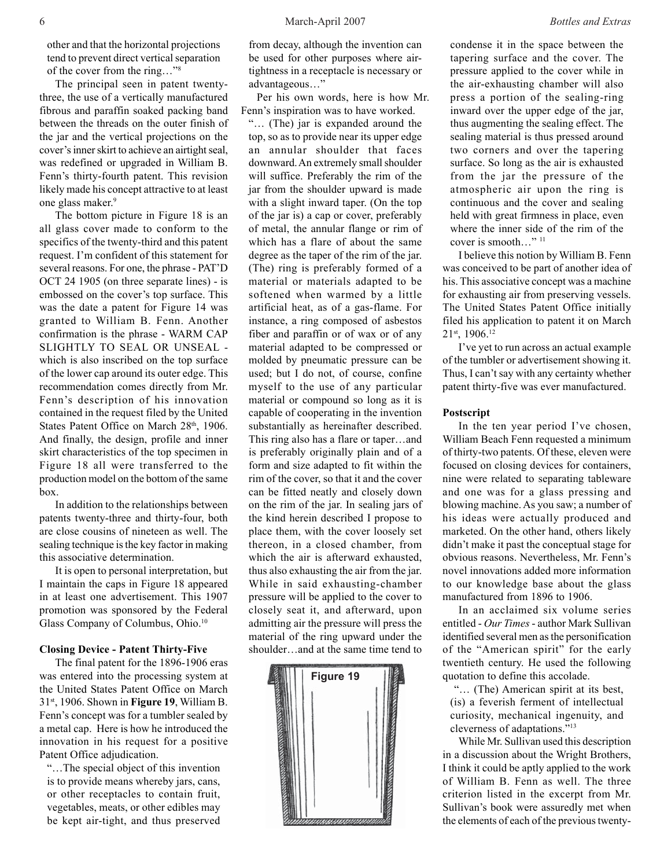other and that the horizontal projections tend to prevent direct vertical separation of the cover from the ring…"8

The principal seen in patent twentythree, the use of a vertically manufactured fibrous and paraffin soaked packing band between the threads on the outer finish of the jar and the vertical projections on the cover's inner skirt to achieve an airtight seal, was redefined or upgraded in William B. Fenn's thirty-fourth patent. This revision likely made his concept attractive to at least one glass maker.<sup>9</sup>

The bottom picture in Figure 18 is an all glass cover made to conform to the specifics of the twenty-third and this patent request. I'm confident of this statement for several reasons. For one, the phrase - PAT'D OCT 24 1905 (on three separate lines) - is embossed on the cover's top surface. This was the date a patent for Figure 14 was granted to William B. Fenn. Another confirmation is the phrase - WARM CAP SLIGHTLY TO SEAL OR UNSEAL which is also inscribed on the top surface of the lower cap around its outer edge. This recommendation comes directly from Mr. Fenn's description of his innovation contained in the request filed by the United States Patent Office on March 28<sup>th</sup>, 1906. And finally, the design, profile and inner skirt characteristics of the top specimen in Figure 18 all were transferred to the production model on the bottom of the same box.

In addition to the relationships between patents twenty-three and thirty-four, both are close cousins of nineteen as well. The sealing technique is the key factor in making this associative determination.

It is open to personal interpretation, but I maintain the caps in Figure 18 appeared in at least one advertisement. This 1907 promotion was sponsored by the Federal Glass Company of Columbus, Ohio.<sup>10</sup>

#### **Closing Device - Patent Thirty-Five**

The final patent for the 1896-1906 eras was entered into the processing system at the United States Patent Office on March 31st, 1906. Shown in **Figure 19**, William B. Fenn's concept was for a tumbler sealed by a metal cap. Here is how he introduced the innovation in his request for a positive Patent Office adjudication.

"…The special object of this invention is to provide means whereby jars, cans, or other receptacles to contain fruit, vegetables, meats, or other edibles may be kept air-tight, and thus preserved

from decay, although the invention can be used for other purposes where airtightness in a receptacle is necessary or advantageous…"

Per his own words, here is how Mr. Fenn's inspiration was to have worked.

"… (The) jar is expanded around the top, so as to provide near its upper edge an annular shoulder that faces downward. An extremely small shoulder will suffice. Preferably the rim of the jar from the shoulder upward is made with a slight inward taper. (On the top of the jar is) a cap or cover, preferably of metal, the annular flange or rim of which has a flare of about the same degree as the taper of the rim of the jar. (The) ring is preferably formed of a material or materials adapted to be softened when warmed by a little artificial heat, as of a gas-flame. For instance, a ring composed of asbestos fiber and paraffin or of wax or of any material adapted to be compressed or molded by pneumatic pressure can be used; but I do not, of course, confine myself to the use of any particular material or compound so long as it is capable of cooperating in the invention substantially as hereinafter described. This ring also has a flare or taper…and is preferably originally plain and of a form and size adapted to fit within the rim of the cover, so that it and the cover can be fitted neatly and closely down on the rim of the jar. In sealing jars of the kind herein described I propose to place them, with the cover loosely set thereon, in a closed chamber, from which the air is afterward exhausted, thus also exhausting the air from the jar. While in said exhausting-chamber pressure will be applied to the cover to closely seat it, and afterward, upon admitting air the pressure will press the material of the ring upward under the shoulder…and at the same time tend to



condense it in the space between the tapering surface and the cover. The pressure applied to the cover while in the air-exhausting chamber will also press a portion of the sealing-ring inward over the upper edge of the jar, thus augmenting the sealing effect. The sealing material is thus pressed around two corners and over the tapering surface. So long as the air is exhausted from the jar the pressure of the atmospheric air upon the ring is continuous and the cover and sealing held with great firmness in place, even where the inner side of the rim of the cover is smooth..."<sup>11</sup>

I believe this notion by William B. Fenn was conceived to be part of another idea of his. This associative concept was a machine for exhausting air from preserving vessels. The United States Patent Office initially filed his application to patent it on March 21st, 1906.12

I've yet to run across an actual example of the tumbler or advertisement showing it. Thus, I can't say with any certainty whether patent thirty-five was ever manufactured.

#### **Postscript**

In the ten year period I've chosen, William Beach Fenn requested a minimum of thirty-two patents. Of these, eleven were focused on closing devices for containers, nine were related to separating tableware and one was for a glass pressing and blowing machine. As you saw; a number of his ideas were actually produced and marketed. On the other hand, others likely didn't make it past the conceptual stage for obvious reasons. Nevertheless, Mr. Fenn's novel innovations added more information to our knowledge base about the glass manufactured from 1896 to 1906.

In an acclaimed six volume series entitled - *Our Times* - author Mark Sullivan identified several men as the personification of the "American spirit" for the early twentieth century. He used the following quotation to define this accolade.

 "… (The) American spirit at its best, (is) a feverish ferment of intellectual curiosity, mechanical ingenuity, and cleverness of adaptations."13

While Mr. Sullivan used this description in a discussion about the Wright Brothers, I think it could be aptly applied to the work of William B. Fenn as well. The three criterion listed in the excerpt from Mr. Sullivan's book were assuredly met when the elements of each of the previous twenty